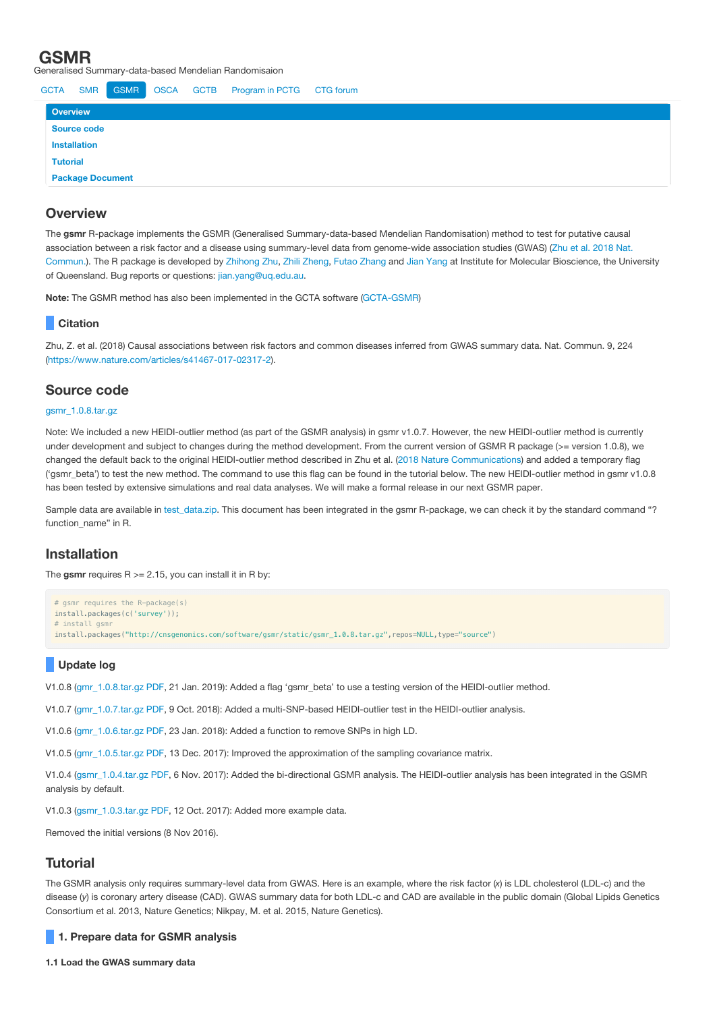| <b>GSMR</b><br>ieneralised Summary-data-based Mendelian Randomisaion     |             |            |                         |             |             |                 |                  |  |
|--------------------------------------------------------------------------|-------------|------------|-------------------------|-------------|-------------|-----------------|------------------|--|
|                                                                          | <b>GCTA</b> | <b>SMR</b> | <b>GSMR</b>             | <b>OSCA</b> | <b>GCTB</b> | Program in PCTG | <b>CTG</b> forum |  |
| <b>Overview</b><br>Source code<br><b>Installation</b><br><b>Tutorial</b> |             |            |                         |             |             |                 |                  |  |
|                                                                          |             |            |                         |             |             |                 |                  |  |
|                                                                          |             |            |                         |             |             |                 |                  |  |
|                                                                          |             |            |                         |             |             |                 |                  |  |
|                                                                          |             |            | <b>Package Document</b> |             |             |                 |                  |  |

# **Overview**

The **gsmr** R-package implements the GSMR (Generalised Summary-data-based Mendelian Randomisation) method to test for putative causal association between a risk factor and a disease using [summary-level](https://www.nature.com/articles/s41467-017-02317-2) data from genome-wide association studies (GWAS) (Zhu et al. 2018 Nat. Commun.). The R package is developed by [Zhihong](mailto:z.zhu1@uq.edu.au) Zhu, Zhili [Zheng,](mailto:zhili.zheng@uq.edu.au) Futao [Zhang](mailto:futao.zhang@uq.edu.au) and Jian [Yang](http://researchers.uq.edu.au/researcher/2713) at Institute for Molecular Bioscience, the University of Queensland. Bug reports or questions: [jian.yang@uq.edu.au.](mailto:jian.yang@uq.edu.au)

**Note:** The GSMR method has also been implemented in the GCTA software [\(GCTA-GSMR](http://cnsgenomics.com/software/gcta/#GSMR))

## **Citation**

Zhu, Z. et al. (2018) Causal associations between risk factors and common diseases inferred from GWAS summary data. Nat. Commun. 9, 224 (<https://www.nature.com/articles/s41467-017-02317-2>).

# **Source code**

### [gsmr\\_1.0.8.tar.gz](http://cnsgenomics.com/software/gsmr/static/gsmr_1.0.8.tar.gz)

Note: We included a new HEIDI-outlier method (as part of the GSMR analysis) in gsmr v1.0.7. However, the new HEIDI-outlier method is currently under development and subject to changes during the method development. From the current version of GSMR R package (>= version 1.0.8), we changed the default back to the original HEIDI-outlier method described in Zhu et al. (2018 Nature [Communications\)](https://www.nature.com/articles/s41467-017-02317-2) and added a temporary flag ('gsmr\_beta') to test the new method. The command to use this flag can be found in the tutorial below. The new HEIDI-outlier method in gsmr v1.0.8 has been tested by extensive simulations and real data analyses. We will make a formal release in our next GSMR paper.

Sample data are available in test data.zip. This document has been integrated in the gsmr R-package, we can check it by the standard command "? function\_name" in R.

# **Installation**

The gsmr requires  $R = 2.15$ , you can install it in R bv:

```
# gsmr requires the R-package(s)
install.packages(c('survey'));
# install gsmr
install.packages("http://cnsgenomics.com/software/gsmr/static/gsmr_1.0.8.tar.gz",repos=NULL,type="source")
```
## **Update log**

V1.0.8 ([gmr\\_1.0.8.tar.gz](http://cnsgenomics.com/software/gsmr/static/gsmr_1.0.8.tar.gz) [PDF](http://cnsgenomics.com/software/gsmr/static/gsmr_doc_1.0.8.pdf), 21 Jan. 2019): Added a flag 'gsmr\_beta' to use a testing version of the HEIDI-outlier method.

V1.0.7 ([gmr\\_1.0.7.tar.gz](http://cnsgenomics.com/software/gsmr/static/gsmr_1.0.7.tar.gz) [PDF](http://cnsgenomics.com/software/gsmr/static/gsmr_doc_1.0.7.pdf), 9 Oct. 2018): Added a multi-SNP-based HEIDI-outlier test in the HEIDI-outlier analysis.

V1.0.6 ([gmr\\_1.0.6.tar.gz](http://cnsgenomics.com/software/gsmr/static/gsmr_1.0.6.tar.gz) [PDF](http://cnsgenomics.com/software/gsmr/static/gsmr_doc_1.0.6.pdf), 23 Jan. 2018): Added a function to remove SNPs in high LD.

V1.0.5 ([gmr\\_1.0.5.tar.gz](http://cnsgenomics.com/software/gsmr/static/gsmr_1.0.5.tar.gz) [PDF](http://cnsgenomics.com/software/gsmr/static/gsmr_doc_1.0.5.pdf), 13 Dec. 2017): Improved the approximation of the sampling covariance matrix.

V1.0.4 ([gsmr\\_1.0.4.tar.gz](http://cnsgenomics.com/software/gsmr/static/gsmr_1.0.4.tar.gz) [PDF](http://cnsgenomics.com/software/gsmr/static/gsmr_doc_1.0.4.pdf), 6 Nov. 2017): Added the bi-directional GSMR analysis. The HEIDI-outlier analysis has been integrated in the GSMR analysis by default.

V1.0.3 ([gsmr\\_1.0.3.tar.gz](http://cnsgenomics.com/software/gsmr/static/gsmr_1.0.3.tar.gz) [PDF](http://cnsgenomics.com/software/gsmr/static/gsmr_doc_1.0.3.pdf), 12 Oct. 2017): Added more example data.

Removed the initial versions (8 Nov 2016).

# **Tutorial**

The GSMR analysis only requires summary-level data from GWAS. Here is an example, where the risk factor (x) is LDL cholesterol (LDL-c) and the disease (*y*) is coronary artery disease (CAD). GWAS summary data for both LDL-c and CAD are available in the public domain (Global Lipids Genetics Consortium et al. 2013, Nature Genetics; Nikpay, M. et al. 2015, Nature Genetics).

## **1. Prepare data for GSMR analysis**

**1.1 Load the GWAS summary data**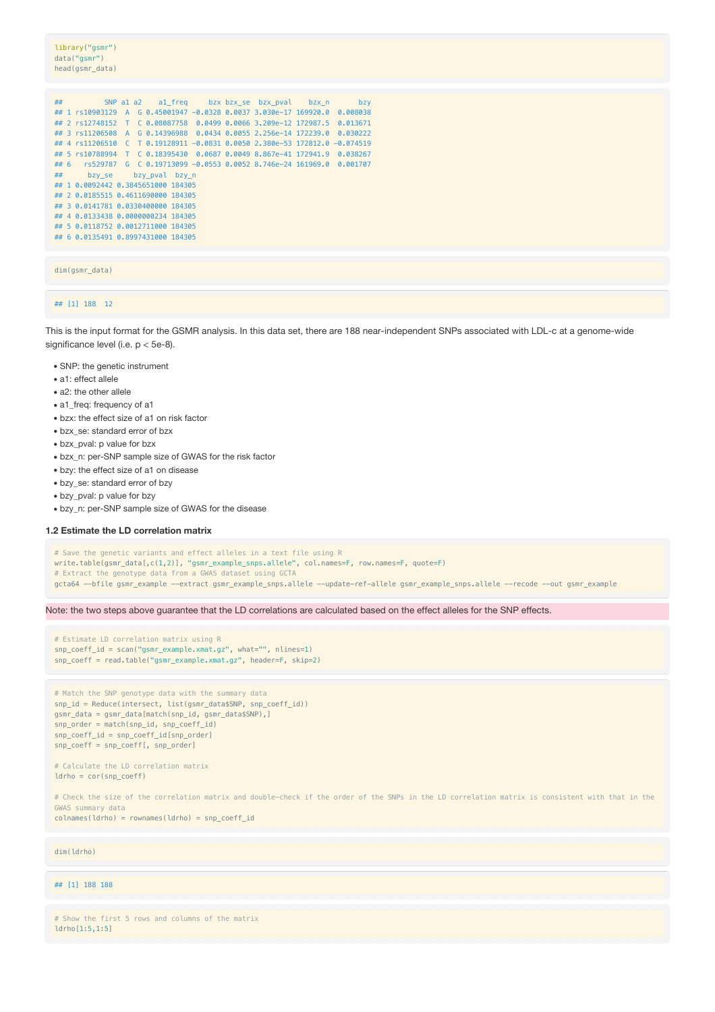library("gsmr") data("gsmr") head(gsmr\_data)

| ## 1 rs10903129 A G 0.45001947 -0.0328 0.0037 3.030e-17 169920.0 0.008038<br>## 2 rs12748152 T C 0.08087758 0.0499 0.0066 3.209e-12 172987.5 0.013671<br>## 3 rs11206508 A G 0.14396988 0.0434 0.0055 2.256e-14 172239.0 0.030222<br>## 4 rs11206510 C T 0.19128911 -0.0831 0.0050 2.380e-53 172812.0 -0.074519<br>## 5 rs10788994 T C 0.18395430 0.0687 0.0049 8.867e-41 172941.9 0.038267<br>## 6  rs529787  G  C  0.19713099 -0.0553  0.0052  8.746e-24  161969.0  0.001707<br>## bzy se bzy pval bzy n<br>## 1 0.0092442 0.3845651000 184305<br>## 2 0.0185515 0.4611690000 184305<br>## 3 0.0141781 0.0330400000 184305<br>## 4 0.0133438 0.0000000234 184305<br>## 5 0.0118752 0.0012711000 184305 |
|----------------------------------------------------------------------------------------------------------------------------------------------------------------------------------------------------------------------------------------------------------------------------------------------------------------------------------------------------------------------------------------------------------------------------------------------------------------------------------------------------------------------------------------------------------------------------------------------------------------------------------------------------------------------------------------------------------|
|                                                                                                                                                                                                                                                                                                                                                                                                                                                                                                                                                                                                                                                                                                          |
|                                                                                                                                                                                                                                                                                                                                                                                                                                                                                                                                                                                                                                                                                                          |
|                                                                                                                                                                                                                                                                                                                                                                                                                                                                                                                                                                                                                                                                                                          |
|                                                                                                                                                                                                                                                                                                                                                                                                                                                                                                                                                                                                                                                                                                          |
|                                                                                                                                                                                                                                                                                                                                                                                                                                                                                                                                                                                                                                                                                                          |
|                                                                                                                                                                                                                                                                                                                                                                                                                                                                                                                                                                                                                                                                                                          |
|                                                                                                                                                                                                                                                                                                                                                                                                                                                                                                                                                                                                                                                                                                          |
|                                                                                                                                                                                                                                                                                                                                                                                                                                                                                                                                                                                                                                                                                                          |
|                                                                                                                                                                                                                                                                                                                                                                                                                                                                                                                                                                                                                                                                                                          |
|                                                                                                                                                                                                                                                                                                                                                                                                                                                                                                                                                                                                                                                                                                          |
|                                                                                                                                                                                                                                                                                                                                                                                                                                                                                                                                                                                                                                                                                                          |
|                                                                                                                                                                                                                                                                                                                                                                                                                                                                                                                                                                                                                                                                                                          |
| ## 6 0.0135491 0.8997431000 184305                                                                                                                                                                                                                                                                                                                                                                                                                                                                                                                                                                                                                                                                       |

### dim(gsmr\_data)

### ## [1] 188 12

This is the input format for the GSMR analysis. In this data set, there are 188 near-independent SNPs associated with LDL-c at a genome-wide significance level (i.e. p < 5e-8).

- SNP: the genetic instrument
- a1: effect allele
- a2: the other allele
- a1 freq: frequency of a1
- bzx: the effect size of a1 on risk factor
- bzx\_se: standard error of bzx
- bzx\_pval: p value for bzx
- bzx\_n: per-SNP sample size of GWAS for the risk factor
- bzy: the effect size of a1 on disease
- bzy se: standard error of bzy
- bzy\_pval: p value for bzy
- bzy\_n: per-SNP sample size of GWAS for the disease

#### **1.2 Estimate the LD correlation matrix**

# Save the genetic variants and effect alleles in a text file using R

- write.table(gsmr\_data[,c(1,2)], "gsmr\_example\_snps.allele", col.names=F, row.names=F, quote=F)
- # Extract the genotype data from a GWAS dataset using GCTA
- gcta64 --bfile gsmr\_example --extract gsmr\_example\_snps.allele --update-ref-allele gsmr\_example\_snps.allele --recode --out gsmr\_example

Note: the two steps above guarantee that the LD correlations are calculated based on the effect alleles for the SNP effects.

```
# Estimate LD correlation matrix using R
snp_coeff_id = scan("gsmr_example.xmat.gz", what="", nlines=1)
snp_coeff = read.table("gsmr_example.xmat.gz", header=F, skip=2)
```

```
# Match the SNP genotype data with the summary data
snp_id = Reduce(intersect, list(gsmr_data$SNP, snp_coeff_id))
gsmr_data = gsmr_data[match(snp_id, gsmr_data$SNP),]
snp_order = match(snp_id, snp_coeff_id)
snp_coeff_id = snp_coeff_id[snp_order]
snp_coeff = snp_coeff[, snp_order]
```

```
# Calculate the LD correlation matrix
ldrho = cor(snp_coeff)
```
# Check the size of the correlation matrix and double-check if the order of the SNPs in the LD correlation matrix is consistent with that in the GWAS summary data  $colnames(ldrho) = rownames(ldrho) = snp-coeffid$ 

dim(ldrho)

### ## [1] 188 188

# Show the first 5 rows and columns of the matrix ldrho[1:5,1:5]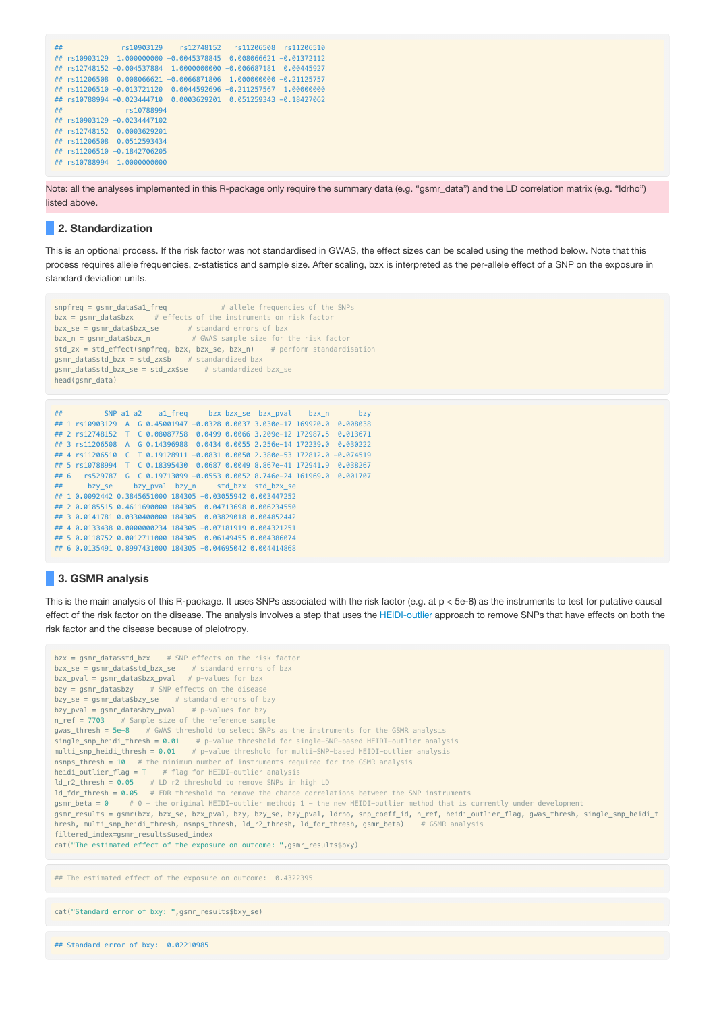```
## rs10903129 rs12748152 rs11206508 rs11206510
## rs10903129 1.000000000 -0.0045378845 0.008066621 -0.01372112
## rs12748152 -0.004537884 1.0000000000 -0.006687181 0.00445927
## rs11206508 0.008066621 -0.0066871806 1.000000000 -0.21125757
## rs11206510 -0.013721120 0.0044592696 -0.211257567 1.00000000
## rs10788994 -0.023444710 0.0003629201 0.051259343 -0.18427062
## rs10788994
## rs10903129 -0.0234447102
## rs12748152 0.0003629201
## rs11206508 0.0512593434
## rs11206510 -0.1842706205
## rs10788994 1.0000000000
```
Note: all the analyses implemented in this R-package only require the summary data (e.g. "gsmr\_data") and the LD correlation matrix (e.g. "ldrho") listed above.

## **2. Standardization**

This is an optional process. If the risk factor was not standardised in GWAS, the effect sizes can be scaled using the method below. Note that this process requires allele frequencies, z-statistics and sample size. After scaling, bzx is interpreted as the per-allele effect of a SNP on the exposure in standard deviation units.

```
snpfreq = gsmr_data$a1_freq # allele frequencies of the SNPs
bzx = asmr data$bzx # effects of the instruments on risk factor
bzx_se = gsmr_data$bzx_se # standard errors of bzx
bzx_n = gsmr_data$bzx_n # GWAS sample size for the risk factor
std_zx = std_effect(snpfreq, bzx, bzx_se, bzx_n) # perform standardisation
gsmr_data$std_bzx = std_zx$b # standardized bzx
gsmr_data$std_bzx_se = std_zx$se # standardized bzx_se
head(gsmr_data)
```

```
## SNP a1 a2 a1_freq bzx bzx_se bzx_pval bzx_n bzy
## 1 rs10903129 A G 0.45001947 -0.0328 0.0037 3.030e-17 169920.0 0.008038
## 2 rs12748152 T C 0.08087758 0.0499 0.0066 3.209e-12 172987.5 0.013671
## 3 rs11206508 A G 0.14396988 0.0434 0.0055 2.256e-14 172239.0 0.030222
## 4 rs11206510 C T 0.19128911 -0.0831 0.0050 2.380e-53 172812.0 -0.074519
## 5 rs10788994 T C 0.18395430 0.0687 0.0049 8.867e-41 172941.9 0.038267
## 6 rs529787 G C 0.19713099 -0.0553 0.0052 8.746e-24 161969.0 0.001707
## bzy_se bzy_pval bzy_n std_bzx std_bzx_se
## 1 0.0092442 0.3845651000 184305 -0.03055942 0.003447252
## 2 0.0185515 0.4611690000 184305 0.04713698 0.006234550
## 3 0.0141781 0.0330400000 184305 0.03829018 0.004852442
## 4 0.0133438 0.0000000234 184305 -0.07181919 0.004321251
## 5 0.0118752 0.0012711000 184305 0.06149455 0.004386074
## 6 0.0135491 0.8997431000 184305 -0.04695042 0.004414868
```
## **3. GSMR analysis**

This is the main analysis of this R-package. It uses SNPs associated with the risk factor (e.g. at p < 5e-8) as the instruments to test for putative causal effect of the risk factor on the disease. The analysis involves a step that uses the HEIDI-outlier approach to remove SNPs that have effects on both the risk factor and the disease because of pleiotropy.

```
bzx = gsmr_data$std_bzx # SNP effects on the risk factor
bzx_se = gsmr_data$std_bzx_se # standard errors of bzx
bzx_pval = gsmr_data$bzx_pval # p-values for bzx
bzw = asmr data$bzy # SNP effects on the disease
bzy_se = gsmr_data$bzy_se # standard errors of bzy
bzy_pval = gsmr_data$bzy_pval # p-values for bzy
n_{ref} = 7703 # Sample size of the reference sample
gwas_thresh = 5e-8 # GWAS threshold to select SNPs as the instruments for the GSMR analysis
single_snp_heidi_thresh = 0.01 # p-value threshold for single-SNP-based HEIDI-outlier analysis
multi_snp_heidi_thresh = 0.01 # p-value threshold for multi-SNP-based HEIDI-outlier analysis
nsnps_thresh = 10 # the minimum number of instruments required for the GSMR analysis
heidi_outlier_flag = T # flag for HEIDI-outlier analysis
ld_r-thresh = 0.05 # LD r2 threshold to remove SNPs in high LD
ld_fdr_thresh = 0.05 # FDR threshold to remove the chance correlations between the SNP instruments
gsmr_beta = 0 # 0 - the original HEIDI-outlier method; 1 - the new HEIDI-outlier method that is currently under development
gsmr_results = gsmr(bzx, bzx_se, bzx_pval, bzy, bzy_se, bzy_pval, ldrho, snp_coeff_id, n_ref, heidi_outlier_flag, gwas_thresh, single_snp_heidi_t
hresh, multi snp_heidi_thresh, nsnps_thresh, ld_r2_thresh, ld_fdr_thresh, gsmr_beta) # GSMR analysis
filtered_index=gsmr_results$used_index
cat("The estimated effect of the exposure on outcome: ",gsmr_results$bxy)
```
## The estimated effect of the exposure on outcome: 0.4322395

cat("Standard error of bxy: ",gsmr\_results\$bxy\_se)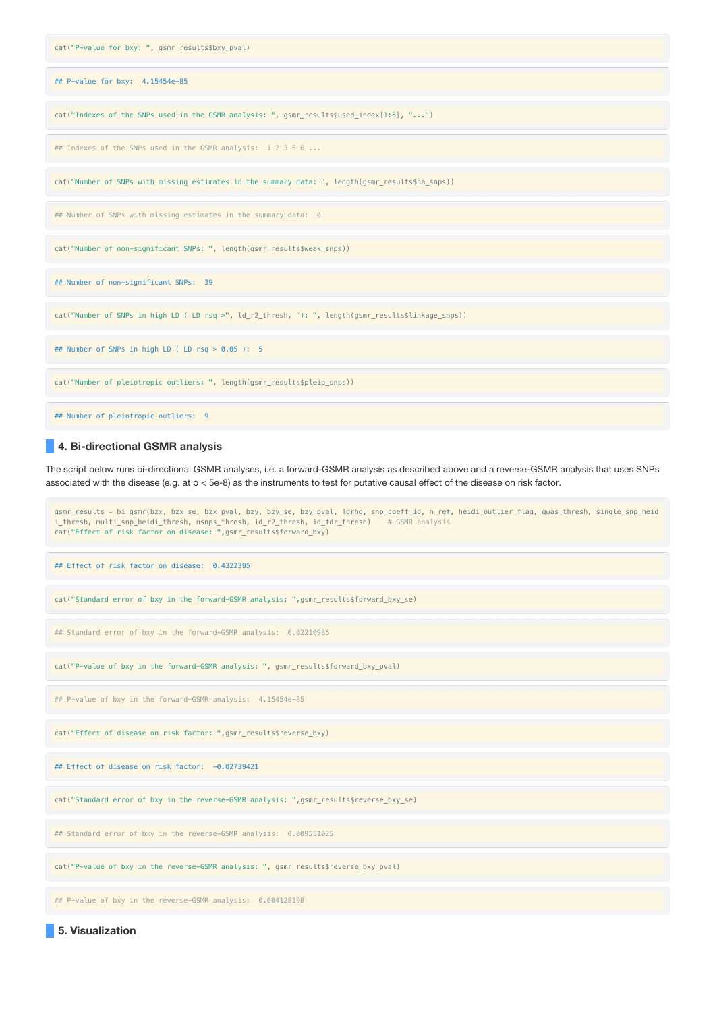

## **4. Bi-directional GSMR analysis**

The script below runs bi-directional GSMR analyses, i.e. a forward-GSMR analysis as described above and a reverse-GSMR analysis that uses SNPs associated with the disease (e.g. at p < 5e-8) as the instruments to test for putative causal effect of the disease on risk factor.

gsmr\_results = bi\_gsmr(bzx, bzx\_se, bzx\_pval, bzy, bzy\_se, bzy\_pval, ldrho, snp\_coeff\_id, n\_ref, heidi\_outlier\_flag, gwas\_thresh, single\_snp\_heid i\_thresh, multi\_snp\_heidi\_thresh, nsnps\_thresh, ld\_r2\_thresh, ld\_fdr\_thresh) # GSMR analysis cat("Effect of risk factor on disease: ",gsmr\_results\$forward\_bxy) ## Effect of risk factor on disease: 0.4322395 cat("Standard error of bxy in the forward-GSMR analysis: ",gsmr\_results\$forward\_bxy\_se) ## Standard error of bxy in the forward-GSMR analysis: 0.02210985 cat("P-value of bxy in the forward-GSMR analysis: ", gsmr\_results\$forward\_bxy\_pval) ## P-value of bxy in the forward-GSMR analysis: 4.15454e-85 cat("Effect of disease on risk factor: ",gsmr\_results\$reverse\_bxy) ## Effect of disease on risk factor: -0.02739421 cat("Standard error of bxy in the reverse-GSMR analysis: ",gsmr\_results\$reverse\_bxy\_se) ## Standard error of bxy in the reverse-GSMR analysis: 0.009551025 cat("P-value of bxy in the reverse-GSMR analysis: ", gsmr\_results\$reverse\_bxy\_pval) ## P-value of bxy in the reverse-GSMR analysis: 0.004128198

**5. Visualization**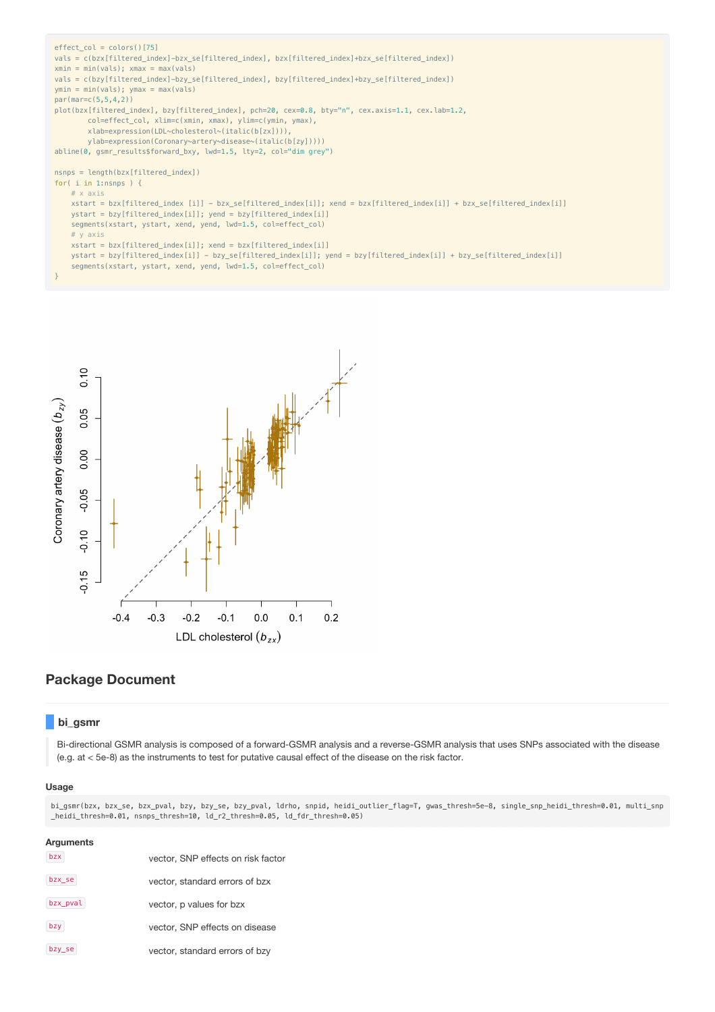```
effect_col = colors()[75]
vals = c(bzx[filtered_index]-bzx_se[filtered_index], bzx[filtered_index]+bzx_se[filtered_index])
xmin = min(vals); xmax = max(vals)vals = c(bzy[filtered_index]-bzy_se[filtered_index], bzy[filtered_index]+bzy_se[filtered_index])
ymin = min(vals); ymax = max(vals)
par(mar=c(5,5,4,2))
plot(bzx[filtered_index], bzy[filtered_index], pch=20, cex=0.8, bty="n", cex.axis=1.1, cex.lab=1.2,
       col=effect_col, xlim=c(xmin, xmax), ylim=c(ymin, ymax),
       xlab=expression(LDL~cholesterol~(italic(b[zx]))),
       ylab=expression(Coronary~artery~disease~(italic(b[zy]))))
abline(0, gsmr_results$forward_bxy, lwd=1.5, lty=2, col="dim grey")
nsnps = length(bzx[filtered_index])
for( i in 1:nsnps ) \{# x axis
    xstart = bzx[filtered_index [i]] - bzx_se[filtered_index[i]]; xend = bzx[filtered_index[i]] + bzx_se[filtered_index[i]]
    ystart = bzy[filtered_index[i]]; yend = bzy[filtered_index[i]]
   segments(xstart, ystart, xend, yend, lwd=1.5, col=effect_col)
    # y axis
    xstart = bzx[filtered_index[i]]; xend = bzx[filtered_index[i]]
    ystart = bzy[filtered_index[i]] - bzy_se[filtered_index[i]]; yend = bzy[filtered_index[i]] + bzy_se[filtered_index[i]]
    segments(xstart, ystart, xend, yend, lwd=1.5, col=effect_col)
}
```


# **Package Document**

## **bi\_gsmr**

Bi-directional GSMR analysis is composed of a forward-GSMR analysis and a reverse-GSMR analysis that uses SNPs associated with the disease (e.g. at < 5e-8) as the instruments to test for putative causal effect of the disease on the risk factor.

### **Usage**

bi\_gsmr(bzx, bzx\_se, bzx\_pval, bzy, bzy\_se, bzy\_pval, ldrho, snpid, heidi\_outlier\_flag=T, gwas\_thresh=5e-8, single\_snp\_heidi\_thresh=0.01, multi\_snp \_heidi\_thresh=0.01, nsnps\_thresh=10, ld\_r2\_thresh=0.05, ld\_fdr\_thresh=0.05)

| Arguments |                                    |
|-----------|------------------------------------|
| bzx       | vector, SNP effects on risk factor |
| bzx_se    | vector, standard errors of bzx     |
| bzx_pval  | vector, p values for bzx           |
| bzy       | vector, SNP effects on disease     |
| bzy_se    | vector, standard errors of bzy     |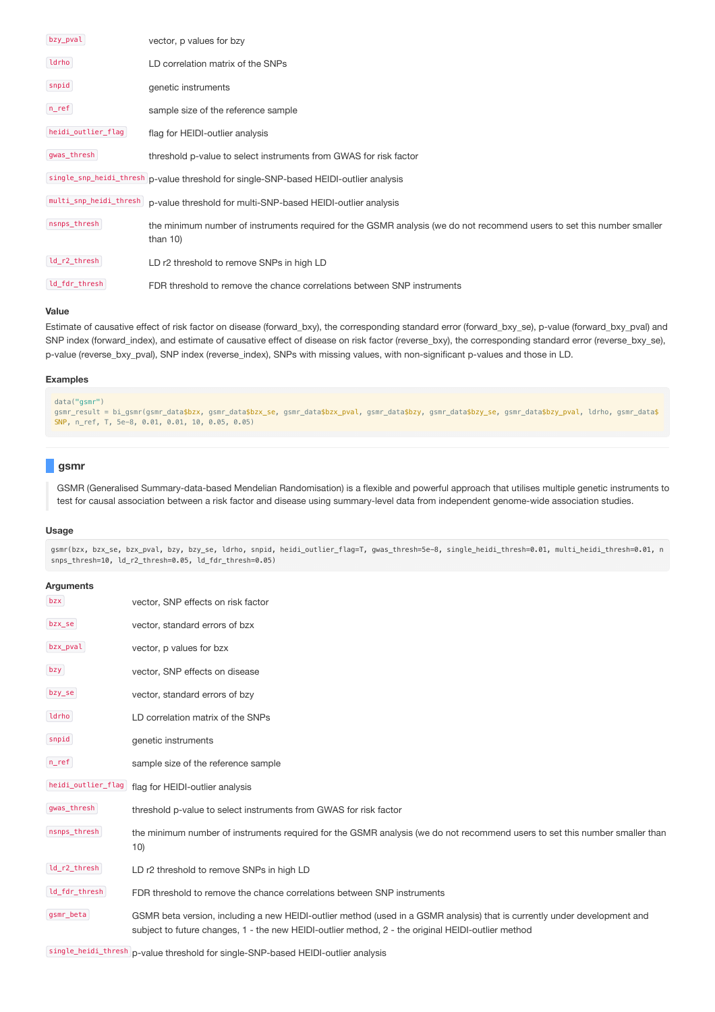| bzy_pval           | vector, p values for bzy                                                                                                              |
|--------------------|---------------------------------------------------------------------------------------------------------------------------------------|
| ldrho              | LD correlation matrix of the SNPs                                                                                                     |
| snpid              | genetic instruments                                                                                                                   |
| $n_{ref}$          | sample size of the reference sample                                                                                                   |
| heidi_outlier_flag | flag for HEIDI-outlier analysis                                                                                                       |
| gwas_thresh        | threshold p-value to select instruments from GWAS for risk factor                                                                     |
|                    | single_snp_heidi_thresh p-value threshold for single-SNP-based HEIDI-outlier analysis                                                 |
|                    | multi_snp_heidi_thresh p-value threshold for multi-SNP-based HEIDI-outlier analysis                                                   |
| nsnps_thresh       | the minimum number of instruments required for the GSMR analysis (we do not recommend users to set this number smaller<br>than $10$ ) |
| ld_r2_thresh       | LD r2 threshold to remove SNPs in high LD                                                                                             |
| ld_fdr_thresh      | FDR threshold to remove the chance correlations between SNP instruments                                                               |

### **Value**

Estimate of causative effect of risk factor on disease (forward\_bxy), the corresponding standard error (forward\_bxy\_se), p-value (forward\_bxy\_pval) and SNP index (forward\_index), and estimate of causative effect of disease on risk factor (reverse\_bxy), the corresponding standard error (reverse\_bxy\_se), p-value (reverse bxy pval), SNP index (reverse index), SNPs with missing values, with non-significant p-values and those in LD.

### **Examples**

```
data("gsmr")
gsmr_result = bi_gsmr(gsmr_data$bzx, gsmr_data$bzx_se, gsmr_data$bzx_pval, gsmr_data$bzy, gsmr_data$bzy_se, gsmr_data$bzy_pval, ldrho, gsmr_data$
SNP, n_ref, T, 5e-8, 0.01, 0.01, 10, 0.05, 0.05)
```
## **gsmr**

GSMR (Generalised Summary-data-based Mendelian Randomisation) is a flexible and powerful approach that utilises multiple genetic instruments to test for causal association between a risk factor and disease using summary-level data from independent genome-wide association studies.

### **Usage**

gsmr(bzx, bzx\_se, bzx\_pval, bzy, bzy\_se, ldrho, snpid, heidi\_outlier\_flag=T, gwas\_thresh=5e-8, single\_heidi\_thresh=0.01, multi\_heidi\_thresh=0.01, n snps\_thresh=10, ld\_r2\_thresh=0.05, ld\_fdr\_thresh=0.05)

| Arguments          |                                                                                                                                                                                                                                 |
|--------------------|---------------------------------------------------------------------------------------------------------------------------------------------------------------------------------------------------------------------------------|
| bzx                | vector, SNP effects on risk factor                                                                                                                                                                                              |
| bzx_se             | vector, standard errors of bzx                                                                                                                                                                                                  |
| bzx_pval           | vector, p values for bzx                                                                                                                                                                                                        |
| bzy                | vector, SNP effects on disease                                                                                                                                                                                                  |
| bzy_se             | vector, standard errors of bzy                                                                                                                                                                                                  |
| ldrho              | LD correlation matrix of the SNPs                                                                                                                                                                                               |
| snpid              | genetic instruments                                                                                                                                                                                                             |
| $n$ _ref           | sample size of the reference sample                                                                                                                                                                                             |
| heidi_outlier_flag | flag for HEIDI-outlier analysis                                                                                                                                                                                                 |
| gwas_thresh        | threshold p-value to select instruments from GWAS for risk factor                                                                                                                                                               |
| nsnps_thresh       | the minimum number of instruments required for the GSMR analysis (we do not recommend users to set this number smaller than<br>10)                                                                                              |
| ld_r2_thresh       | LD r2 threshold to remove SNPs in high LD                                                                                                                                                                                       |
| ld_fdr_thresh      | FDR threshold to remove the chance correlations between SNP instruments                                                                                                                                                         |
| gsmr_beta          | GSMR beta version, including a new HEIDI-outlier method (used in a GSMR analysis) that is currently under development and<br>subject to future changes, 1 - the new HEIDI-outlier method, 2 - the original HEIDI-outlier method |

single\_heidi\_thresh p-value threshold for single-SNP-based HEIDI-outlier analysis